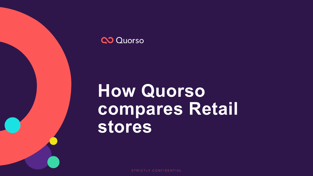

# **How Quorso compares Retail stores**

STRICTLY CONFIDENTIAL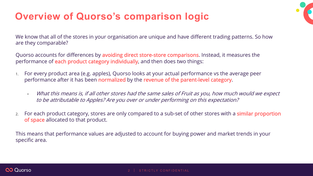## **Overview of Quorso's comparison logic**

We know that all of the stores in your organisation are unique and have different trading patterns. So how are they comparable?

Quorso accounts for differences by avoiding direct store-store comparisons. Instead, it measures the performance of each product category individually, and then does two things:

- 1. For every product area (e.g. apples), Quorso looks at your actual performance vs the average peer performance after it has been normalized by the revenue of the parent-level category.
	- What this means is, if all other stores had the same sales of Fruit as you, how much would we expect to be attributable to Apples? Are you over or under performing on this expectation?
- 2. For each product category, stores are only compared to a sub-set of other stores with a **similar proportion** of space allocated to that product.

This means that performance values are adjusted to account for buying power and market trends in your specific area.

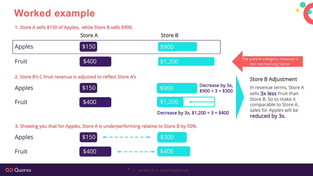## **Worked example**

#### 1. Store A sells \$150 of Apples, while Store B sells \$900.



3. Showing you that for Apples, Store A is underperforming relative to Store B by 50%.

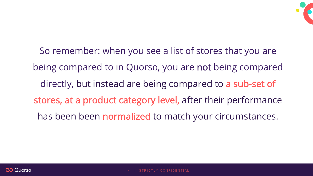

So remember: when you see a list of stores that you are being compared to in Quorso, you are not being compared directly, but instead are being compared to a sub-set of stores, at a product category level, after their performance has been been normalized to match your circumstances.